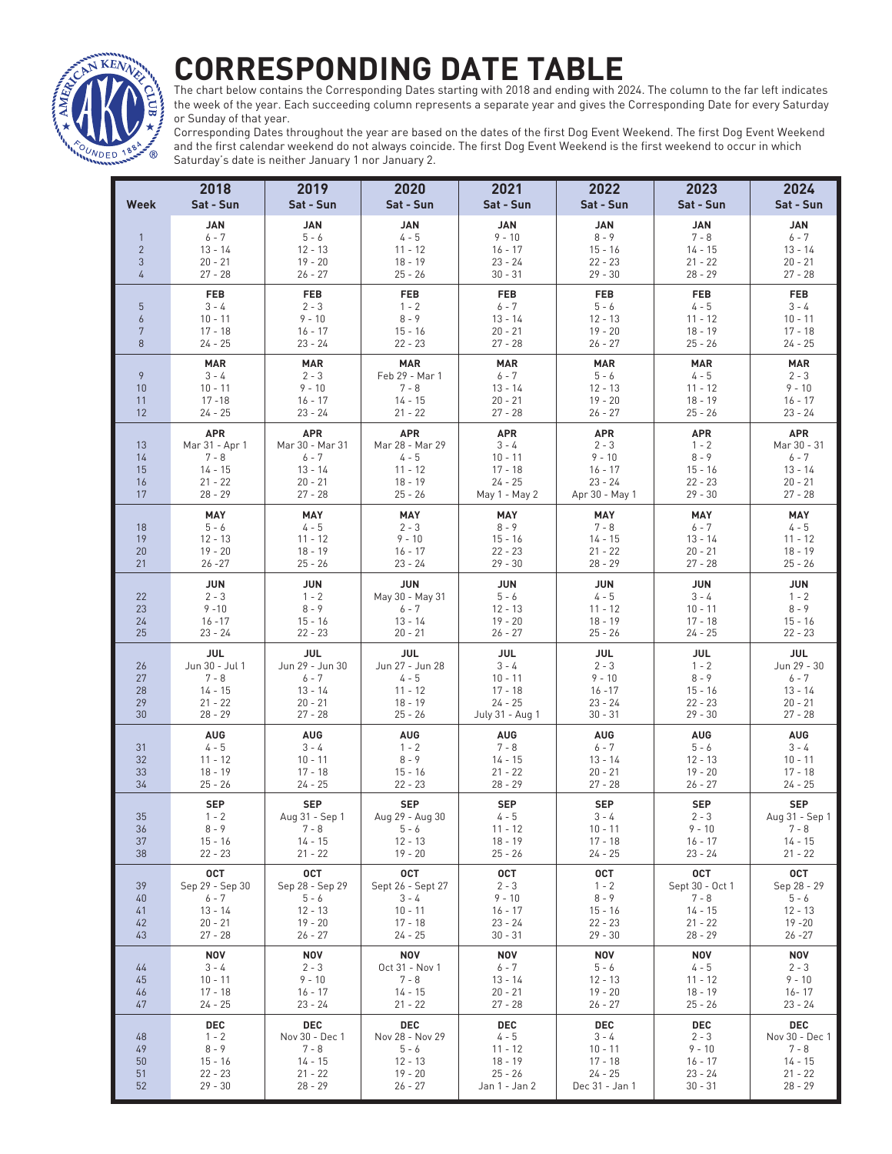## **CORRESPONDING DATE TABLE**



The chart below contains the Corresponding Dates starting with 2018 and ending with 2024. The column to the far left indicates the week of the year. Each succeeding column represents a separate year and gives the Corresponding Date for every Saturday or Sunday of that year.

Corresponding Dates throughout the year are based on the dates of the first Dog Event Weekend. The first Dog Event Weekend and the first calendar weekend do not always coincide. The first Dog Event Weekend is the first weekend to occur in which Saturday's date is neither January 1 nor January 2.

| Week                                              | 2018<br>Sat - Sun                                                              | 2019<br>Sat - Sun                                                               | 2020<br>Sat - Sun                                                               | 2021<br>Sat - Sun                                                               | 2022<br>Sat - Sun                                                              | 2023<br>Sat - Sun                                                             | 2024<br>Sat - Sun                                                           |
|---------------------------------------------------|--------------------------------------------------------------------------------|---------------------------------------------------------------------------------|---------------------------------------------------------------------------------|---------------------------------------------------------------------------------|--------------------------------------------------------------------------------|-------------------------------------------------------------------------------|-----------------------------------------------------------------------------|
| $\mathbf{1}$<br>$\overline{2}$<br>3<br>$\sqrt{4}$ | JAN<br>$6 - 7$<br>$13 - 14$<br>$20 - 21$<br>$27 - 28$                          | <b>JAN</b><br>$5 - 6$<br>$12 - 13$<br>$19 - 20$<br>$26 - 27$                    | <b>JAN</b><br>$4 - 5$<br>$11 - 12$<br>$18 - 19$<br>$25 - 26$                    | <b>JAN</b><br>$9 - 10$<br>$16 - 17$<br>$23 - 24$<br>$30 - 31$                   | <b>JAN</b><br>$8 - 9$<br>$15 - 16$<br>$22 - 23$<br>$29 - 30$                   | <b>JAN</b><br>$7 - 8$<br>$14 - 15$<br>$21 - 22$<br>$28 - 29$                  | <b>JAN</b><br>$6 - 7$<br>13 - 14<br>$20 - 21$<br>$27 - 28$                  |
| 5<br>$\overline{6}$<br>7<br>8                     | <b>FEB</b><br>$3 - 4$<br>$10 - 11$<br>$17 - 18$<br>$24 - 25$                   | <b>FEB</b><br>$2 - 3$<br>$9 - 10$<br>$16 - 17$<br>$23 - 24$                     | <b>FEB</b><br>$1 - 2$<br>$8 - 9$<br>$15 - 16$<br>$22 - 23$                      | <b>FEB</b><br>$6 - 7$<br>$13 - 14$<br>$20 - 21$<br>$27 - 28$                    | <b>FEB</b><br>$5 - 6$<br>$12 - 13$<br>$19 - 20$<br>$26 - 27$                   | <b>FEB</b><br>$4 - 5$<br>$11 - 12$<br>$18 - 19$<br>$25 - 26$                  | <b>FEB</b><br>$3 - 4$<br>$10 - 11$<br>$17 - 18$<br>$24 - 25$                |
| 9<br>10<br>11<br>12                               | <b>MAR</b><br>$3 - 4$<br>$10 - 11$<br>$17 - 18$<br>$24 - 25$                   | <b>MAR</b><br>$2 - 3$<br>$9 - 10$<br>$16 - 17$<br>$23 - 24$                     | <b>MAR</b><br>Feb 29 - Mar 1<br>$7 - 8$<br>$14 - 15$<br>$21 - 22$               | <b>MAR</b><br>$6 - 7$<br>$13 - 14$<br>$20 - 21$<br>$27 - 28$                    | <b>MAR</b><br>$5 - 6$<br>$12 - 13$<br>$19 - 20$<br>$26 - 27$                   | <b>MAR</b><br>$4 - 5$<br>$11 - 12$<br>$18 - 19$<br>$25 - 26$                  | <b>MAR</b><br>$2 - 3$<br>$9 - 10$<br>$16 - 17$<br>$23 - 24$                 |
| 13<br>14<br>15<br>16<br>17                        | <b>APR</b><br>Mar 31 - Apr 1<br>$7 - 8$<br>$14 - 15$<br>$21 - 22$<br>$28 - 29$ | <b>APR</b><br>Mar 30 - Mar 31<br>$6 - 7$<br>$13 - 14$<br>$20 - 21$<br>$27 - 28$ | <b>APR</b><br>Mar 28 - Mar 29<br>$4 - 5$<br>$11 - 12$<br>$18 - 19$<br>$25 - 26$ | <b>APR</b><br>$3 - 4$<br>$10 - 11$<br>$17 - 18$<br>$24 - 25$<br>May 1 - May 2   | <b>APR</b><br>$2 - 3$<br>$9 - 10$<br>$16 - 17$<br>$23 - 24$<br>Apr 30 - May 1  | <b>APR</b><br>$1 - 2$<br>$8 - 9$<br>$15 - 16$<br>$22 - 23$<br>$29 - 30$       | <b>APR</b><br>Mar 30 - 31<br>$6 - 7$<br>$13 - 14$<br>$20 - 21$<br>$27 - 28$ |
| 18<br>19<br>20<br>21                              | MAY<br>$5 - 6$<br>$12 - 13$<br>$19 - 20$<br>$26 - 27$                          | MAY<br>$4 - 5$<br>$11 - 12$<br>18 - 19<br>$25 - 26$                             | MAY<br>$2 - 3$<br>$9 - 10$<br>$16 - 17$<br>$23 - 24$                            | MAY<br>$8 - 9$<br>$15 - 16$<br>$22 - 23$<br>$29 - 30$                           | MAY<br>$7 - 8$<br>$14 - 15$<br>$21 - 22$<br>$28 - 29$                          | MAY<br>$6 - 7$<br>$13 - 14$<br>$20 - 21$<br>$27 - 28$                         | MAY<br>$4 - 5$<br>$11 - 12$<br>18 - 19<br>$25 - 26$                         |
| 22<br>23<br>24<br>25                              | JUN<br>$2 - 3$<br>$9 - 10$<br>$16 - 17$<br>$23 - 24$                           | <b>JUN</b><br>$1 - 2$<br>$8 - 9$<br>$15 - 16$<br>$22 - 23$                      | <b>JUN</b><br>May 30 - May 31<br>$6 - 7$<br>13 - 14<br>$20 - 21$                | <b>JUN</b><br>$5 - 6$<br>$12 - 13$<br>$19 - 20$<br>$26 - 27$                    | <b>JUN</b><br>$4 - 5$<br>$11 - 12$<br>$18 - 19$<br>$25 - 26$                   | <b>JUN</b><br>$3 - 4$<br>$10 - 11$<br>$17 - 18$<br>$24 - 25$                  | <b>JUN</b><br>$1 - 2$<br>$8 - 9$<br>$15 - 16$<br>$22 - 23$                  |
| 26<br>27<br>28<br>29<br>30                        | <b>JUL</b><br>Jun 30 - Jul 1<br>$7 - 8$<br>$14 - 15$<br>$21 - 22$<br>$28 - 29$ | <b>JUL</b><br>Jun 29 - Jun 30<br>$6 - 7$<br>$13 - 14$<br>$20 - 21$<br>$27 - 28$ | <b>JUL</b><br>Jun 27 - Jun 28<br>$4 - 5$<br>$11 - 12$<br>$18 - 19$<br>$25 - 26$ | <b>JUL</b><br>$3 - 4$<br>$10 - 11$<br>$17 - 18$<br>$24 - 25$<br>July 31 - Aug 1 | <b>JUL</b><br>$2 - 3$<br>$9 - 10$<br>$16 - 17$<br>$23 - 24$<br>$30 - 31$       | <b>JUL</b><br>$1 - 2$<br>$8 - 9$<br>$15 - 16$<br>$22 - 23$<br>$29 - 30$       | JUL<br>Jun 29 - 30<br>$6 - 7$<br>$13 - 14$<br>$20 - 21$<br>$27 - 28$        |
| 31<br>32<br>33<br>34                              | <b>AUG</b><br>$4 - 5$<br>$11 - 12$<br>$18 - 19$<br>$25 - 26$                   | <b>AUG</b><br>$3 - 4$<br>$10 - 11$<br>$17 - 18$<br>24 - 25                      | <b>AUG</b><br>$1 - 2$<br>$8 - 9$<br>$15 - 16$<br>$22 - 23$                      | <b>AUG</b><br>$7 - 8$<br>$14 - 15$<br>$21 - 22$<br>$28 - 29$                    | <b>AUG</b><br>$6 - 7$<br>$13 - 14$<br>$20 - 21$<br>$27 - 28$                   | <b>AUG</b><br>$5 - 6$<br>$12 - 13$<br>$19 - 20$<br>$26 - 27$                  | <b>AUG</b><br>$3 - 4$<br>$10 - 11$<br>$17 - 18$<br>$24 - 25$                |
| 35<br>36<br>37<br>38                              | <b>SEP</b><br>$1 - 2$<br>$8 - 9$<br>$15 - 16$<br>$22 - 23$                     | <b>SEP</b><br>Aug 31 - Sep 1<br>$7 - 8$<br>$14 - 15$<br>$21 - 22$               | <b>SEP</b><br>Aug 29 - Aug 30<br>$5 - 6$<br>$12 - 13$<br>$19 - 20$              | <b>SEP</b><br>$4 - 5$<br>$11 - 12$<br>$18 - 19$<br>25 - 26                      | <b>SEP</b><br>$3 - 4$<br>10 - 11<br>$17 - 18$<br>$24 - 25$                     | <b>SEP</b><br>$2 - 3$<br>$9 - 10$<br>$16 - 17$<br>23 - 24                     | <b>SEP</b><br>Aug 31 - Sep 1<br>7 - 8<br>$14 - 15$<br>$21 - 22$             |
| 39<br>40<br>41<br>42<br>43                        | <b>OCT</b><br>Sep 29 - Sep 30<br>$6 - 7$<br>13 - 14<br>$20 - 21$<br>$27 - 28$  | <b>OCT</b><br>Sep 28 - Sep 29<br>$5 - 6$<br>$12 - 13$<br>$19 - 20$<br>$26 - 27$ | <b>OCT</b><br>Sept 26 - Sept 27<br>$3 - 4$<br>$10 - 11$<br>$17 - 18$<br>24 - 25 | <b>OCT</b><br>$2 - 3$<br>$9 - 10$<br>$16 - 17$<br>23 - 24<br>$30 - 31$          | <b>OCT</b><br>$1 - 2$<br>$8 - 9$<br>$15 - 16$<br>$22 - 23$<br>$29 - 30$        | <b>OCT</b><br>Sept 30 - Oct 1<br>$7 - 8$<br>14 - 15<br>$21 - 22$<br>$28 - 29$ | 0CT<br>Sep 28 - 29<br>$5 - 6$<br>$12 - 13$<br>$19 - 20$<br>$26 - 27$        |
| 44<br>45<br>46<br>47                              | <b>NOV</b><br>$3 - 4$<br>$10 - 11$<br>$17 - 18$<br>$24 - 25$                   | <b>NOV</b><br>$2 - 3$<br>$9 - 10$<br>$16 - 17$<br>$23 - 24$                     | <b>NOV</b><br>Oct 31 - Nov 1<br>$7 - 8$<br>14 - 15<br>$21 - 22$                 | NOV<br>$6 - 7$<br>$13 - 14$<br>$20 - 21$<br>$27 - 28$                           | NOV<br>5 - 6<br>$12 - 13$<br>$19 - 20$<br>$26 - 27$                            | <b>NOV</b><br>$4 - 5$<br>$11 - 12$<br>$18 - 19$<br>$25 - 26$                  | NOV<br>$2 - 3$<br>$9 - 10$<br>16 - 17<br>23 - 24                            |
| 48<br>49<br>50<br>51<br>52                        | <b>DEC</b><br>$1 - 2$<br>$8 - 9$<br>$15 - 16$<br>$22 - 23$<br>$29 - 30$        | <b>DEC</b><br>Nov 30 - Dec 1<br>$7 - 8$<br>14 - 15<br>$21 - 22$<br>$28 - 29$    | <b>DEC</b><br>Nov 28 - Nov 29<br>$5 - 6$<br>$12 - 13$<br>$19 - 20$<br>26 - 27   | <b>DEC</b><br>4 - 5<br>11 - 12<br>18 - 19<br>25 - 26<br>Jan 1 - Jan 2           | <b>DEC</b><br>$3 - 4$<br>$10 - 11$<br>$17 - 18$<br>$24 - 25$<br>Dec 31 - Jan 1 | DEC<br>$2 - 3$<br>$9 - 10$<br>$16 - 17$<br>$23 - 24$<br>$30 - 31$             | DEC<br>Nov 30 - Dec 1<br>$7 - 8$<br>$14 - 15$<br>$21 - 22$<br>$28 - 29$     |